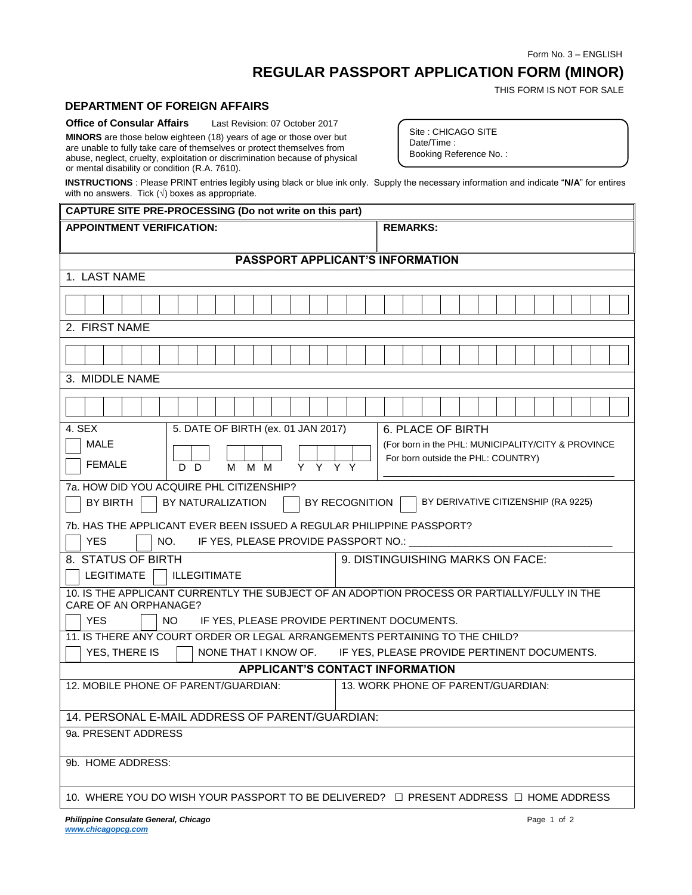Form No. 3 – ENGLISH

## **REGULAR PASSPORT APPLICATION FORM (MINOR)**

THIS FORM IS NOT FOR SALE

## **DEPARTMENT OF FOREIGN AFFAIRS**

**Office of Consular Affairs** Last Revision: 07 October 2017

**MINORS** are those below eighteen (18) years of age or those over but are unable to fully take care of themselves or protect themselves from abuse, neglect, cruelty, exploitation or discrimination because of physical or mental disability or condition (R.A. 7610).

Site : CHICAGO SITE Date/Time : Booking Reference No. :

**INSTRUCTIONS** : Please PRINT entries legibly using black or blue ink only. Supply the necessary information and indicate "**N/A**" for entires with no answers. Tick  $(\sqrt{})$  boxes as appropriate.

## **CAPTURE SITE PRE-PROCESSING (Do not write on this part) APPOINTMENT VERIFICATION: REMARKS: PASSPORT APPLICANT'S INFORMATION** 1. LAST NAME 2. FIRST NAME  $\Gamma$ ┯ ┯ ┯ ┯ Τ ─┌  $\top$  $\top$ ┰ Τ Τ Τ ⊤ 3. MIDDLE NAME

| 3. MIDDLE NAME                                                                                                                                                                                                                                                           |  |  |  |  |
|--------------------------------------------------------------------------------------------------------------------------------------------------------------------------------------------------------------------------------------------------------------------------|--|--|--|--|
|                                                                                                                                                                                                                                                                          |  |  |  |  |
| 5. DATE OF BIRTH (ex. 01 JAN 2017)<br>4. SEX<br>6. PLACE OF BIRTH<br><b>MALE</b><br>(For born in the PHL: MUNICIPALITY/CITY & PROVINCE<br>For born outside the PHL: COUNTRY)<br><b>FEMALE</b><br>Y Y Y Y<br>M M<br>D D<br>M                                              |  |  |  |  |
| 7a. HOW DID YOU ACQUIRE PHL CITIZENSHIP?<br>BY RECOGNITION<br>BY DERIVATIVE CITIZENSHIP (RA 9225)<br>BY NATURALIZATION<br>BY BIRTH<br>7b. HAS THE APPLICANT EVER BEEN ISSUED A REGULAR PHILIPPINE PASSPORT?<br><b>YES</b><br>IF YES, PLEASE PROVIDE PASSPORT NO.:<br>NO. |  |  |  |  |
| 9. DISTINGUISHING MARKS ON FACE:<br>8. STATUS OF BIRTH<br>LEGITIMATE<br><b>ILLEGITIMATE</b>                                                                                                                                                                              |  |  |  |  |
| 10. IS THE APPLICANT CURRENTLY THE SUBJECT OF AN ADOPTION PROCESS OR PARTIALLY/FULLY IN THE<br>CARE OF AN ORPHANAGE?<br><b>YES</b><br><b>NO</b><br>IF YES, PLEASE PROVIDE PERTINENT DOCUMENTS.                                                                           |  |  |  |  |
| 11. IS THERE ANY COURT ORDER OR LEGAL ARRANGEMENTS PERTAINING TO THE CHILD?                                                                                                                                                                                              |  |  |  |  |
| YES, THERE IS<br>NONE THAT I KNOW OF.<br>IF YES, PLEASE PROVIDE PERTINENT DOCUMENTS.                                                                                                                                                                                     |  |  |  |  |
| <b>APPLICANT'S CONTACT INFORMATION</b>                                                                                                                                                                                                                                   |  |  |  |  |
| 12. MOBILE PHONE OF PARENT/GUARDIAN:<br>13. WORK PHONE OF PARENT/GUARDIAN:                                                                                                                                                                                               |  |  |  |  |
| 14. PERSONAL E-MAIL ADDRESS OF PARENT/GUARDIAN:                                                                                                                                                                                                                          |  |  |  |  |
| 9a. PRESENT ADDRESS                                                                                                                                                                                                                                                      |  |  |  |  |
| 9b. HOME ADDRESS:                                                                                                                                                                                                                                                        |  |  |  |  |
| 10. WHERE YOU DO WISH YOUR PASSPORT TO BE DELIVERED? □ PRESENT ADDRESS □ HOME ADDRESS                                                                                                                                                                                    |  |  |  |  |